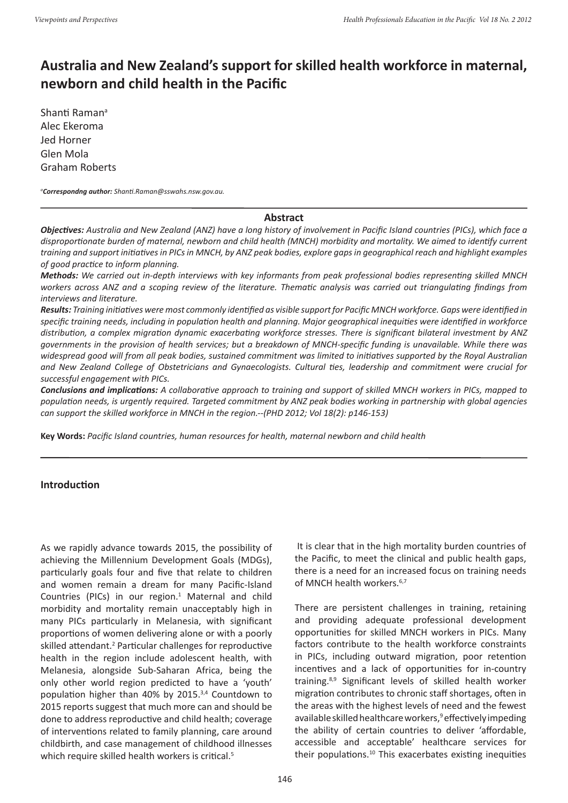# **Australia and New Zealand's support for skilled health workforce in maternal, newborn and child health in the Pacific**

Shanti Raman<sup>a</sup> Alec Ekeroma Jed Horner Glen Mola Graham Roberts

*a Correspondng author: Shanti.Raman@sswahs.nsw.gov.au.*

#### **Abstract**

*Objectives: Australia and New Zealand (ANZ) have a long history of involvement in Pacific Island countries (PICs), which face a disproportionate burden of maternal, newborn and child health (MNCH) morbidity and mortality. We aimed to identify current training and support initiatives in PICs in MNCH, by ANZ peak bodies, explore gaps in geographical reach and highlight examples of good practice to inform planning.*

*Methods: We carried out in-depth interviews with key informants from peak professional bodies representing skilled MNCH workers across ANZ and a scoping review of the literature. Thematic analysis was carried out triangulating findings from interviews and literature.*

*Results: Training initiatives were most commonly identified as visible support for Pacific MNCH workforce. Gaps were identified in specific training needs, including in population health and planning. Major geographical inequities were identified in workforce distribution, a complex migration dynamic exacerbating workforce stresses. There is significant bilateral investment by ANZ governments in the provision of health services; but a breakdown of MNCH-specific funding is unavailable. While there was widespread good will from all peak bodies, sustained commitment was limited to initiatives supported by the Royal Australian and New Zealand College of Obstetricians and Gynaecologists. Cultural ties, leadership and commitment were crucial for successful engagement with PICs.* 

*Conclusions and implications: A collaborative approach to training and support of skilled MNCH workers in PICs, mapped to population needs, is urgently required. Targeted commitment by ANZ peak bodies working in partnership with global agencies can support the skilled workforce in MNCH in the region.--(PHD 2012; Vol 18(2): p146-153)*

**Key Words:** *Pacific Island countries, human resources for health, maternal newborn and child health*

## **Introduction**

As we rapidly advance towards 2015, the possibility of achieving the Millennium Development Goals (MDGs), particularly goals four and five that relate to children and women remain a dream for many Pacific-Island Countries (PICs) in our region.<sup>1</sup> Maternal and child morbidity and mortality remain unacceptably high in many PICs particularly in Melanesia, with significant proportions of women delivering alone or with a poorly skilled attendant.<sup>2</sup> Particular challenges for reproductive health in the region include adolescent health, with Melanesia, alongside Sub-Saharan Africa, being the only other world region predicted to have a 'youth' population higher than 40% by 2015.3,4 Countdown to 2015 reports suggest that much more can and should be done to address reproductive and child health; coverage of interventions related to family planning, care around childbirth, and case management of childhood illnesses which require skilled health workers is critical.<sup>5</sup>

 It is clear that in the high mortality burden countries of the Pacific, to meet the clinical and public health gaps, there is a need for an increased focus on training needs of MNCH health workers.<sup>6,7</sup>

There are persistent challenges in training, retaining and providing adequate professional development opportunities for skilled MNCH workers in PICs. Many factors contribute to the health workforce constraints in PICs, including outward migration, poor retention incentives and a lack of opportunities for in-country training.8,9 Significant levels of skilled health worker migration contributes to chronic staff shortages, often in the areas with the highest levels of need and the fewest available skilled healthcare workers,<sup>9</sup> effectively impeding the ability of certain countries to deliver 'affordable, accessible and acceptable' healthcare services for their populations.<sup>10</sup> This exacerbates existing inequities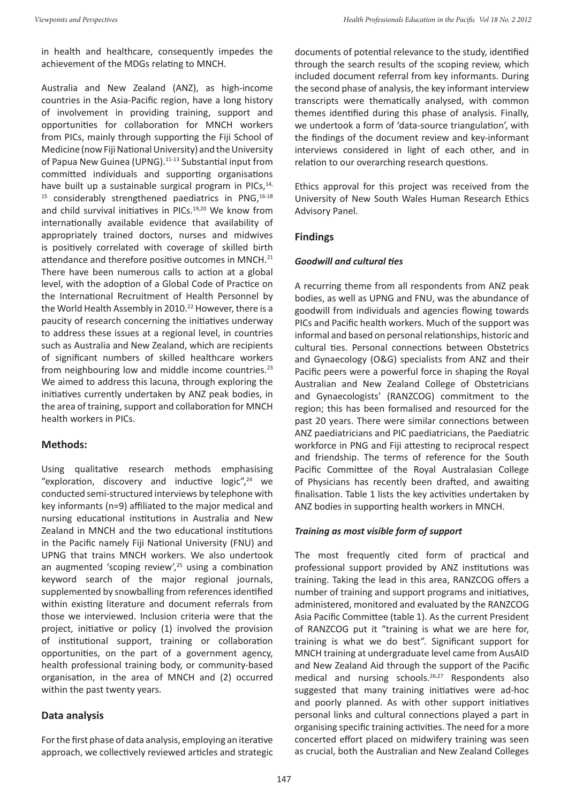in health and healthcare, consequently impedes the achievement of the MDGs relating to MNCH.

Australia and New Zealand (ANZ), as high-income countries in the Asia-Pacific region, have a long history of involvement in providing training, support and opportunities for collaboration for MNCH workers from PICs, mainly through supporting the Fiji School of Medicine (now Fiji National University) and the University of Papua New Guinea (UPNG).<sup>11-13</sup> Substantial input from committed individuals and supporting organisations have built up a sustainable surgical program in PICs, $14$ , <sup>15</sup> considerably strengthened paediatrics in PNG,<sup>16-18</sup> and child survival initiatives in PICs.<sup>19,20</sup> We know from internationally available evidence that availability of appropriately trained doctors, nurses and midwives is positively correlated with coverage of skilled birth attendance and therefore positive outcomes in MNCH.<sup>21</sup> There have been numerous calls to action at a global level, with the adoption of a Global Code of Practice on the International Recruitment of Health Personnel by the World Health Assembly in 2010.<sup>22</sup> However, there is a paucity of research concerning the initiatives underway to address these issues at a regional level, in countries such as Australia and New Zealand, which are recipients of significant numbers of skilled healthcare workers from neighbouring low and middle income countries.<sup>23</sup> We aimed to address this lacuna, through exploring the initiatives currently undertaken by ANZ peak bodies, in the area of training, support and collaboration for MNCH health workers in PICs.

## **Methods:**

Using qualitative research methods emphasising "exploration, discovery and inductive logic", $24$  we conducted semi-structured interviews by telephone with key informants (n=9) affiliated to the major medical and nursing educational institutions in Australia and New Zealand in MNCH and the two educational institutions in the Pacific namely Fiji National University (FNU) and UPNG that trains MNCH workers. We also undertook an augmented 'scoping review',<sup>25</sup> using a combination keyword search of the major regional journals, supplemented by snowballing from references identified within existing literature and document referrals from those we interviewed. Inclusion criteria were that the project, initiative or policy (1) involved the provision of institutional support, training or collaboration opportunities, on the part of a government agency, health professional training body, or community-based organisation, in the area of MNCH and (2) occurred within the past twenty years.

## **Data analysis**

For the first phase of data analysis, employing an iterative approach, we collectively reviewed articles and strategic documents of potential relevance to the study, identified through the search results of the scoping review, which included document referral from key informants. During the second phase of analysis, the key informant interview transcripts were thematically analysed, with common themes identified during this phase of analysis. Finally, we undertook a form of 'data-source triangulation', with the findings of the document review and key-informant interviews considered in light of each other, and in relation to our overarching research questions.

Ethics approval for this project was received from the University of New South Wales Human Research Ethics Advisory Panel.

## **Findings**

## *Goodwill and cultural ties*

A recurring theme from all respondents from ANZ peak bodies, as well as UPNG and FNU, was the abundance of goodwill from individuals and agencies flowing towards PICs and Pacific health workers. Much of the support was informal and based on personal relationships, historic and cultural ties. Personal connections between Obstetrics and Gynaecology (O&G) specialists from ANZ and their Pacific peers were a powerful force in shaping the Royal Australian and New Zealand College of Obstetricians and Gynaecologists' (RANZCOG) commitment to the region; this has been formalised and resourced for the past 20 years. There were similar connections between ANZ paediatricians and PIC paediatricians, the Paediatric workforce in PNG and Fiji attesting to reciprocal respect and friendship. The terms of reference for the South Pacific Committee of the Royal Australasian College of Physicians has recently been drafted, and awaiting finalisation. Table 1 lists the key activities undertaken by ANZ bodies in supporting health workers in MNCH.

## *Training as most visible form of support*

The most frequently cited form of practical and professional support provided by ANZ institutions was training. Taking the lead in this area, RANZCOG offers a number of training and support programs and initiatives, administered, monitored and evaluated by the RANZCOG Asia Pacific Committee (table 1). As the current President of RANZCOG put it "training is what we are here for, training is what we do best". Significant support for MNCH training at undergraduate level came from AusAID and New Zealand Aid through the support of the Pacific medical and nursing schools.<sup>26,27</sup> Respondents also suggested that many training initiatives were ad-hoc and poorly planned. As with other support initiatives personal links and cultural connections played a part in organising specific training activities. The need for a more concerted effort placed on midwifery training was seen as crucial, both the Australian and New Zealand Colleges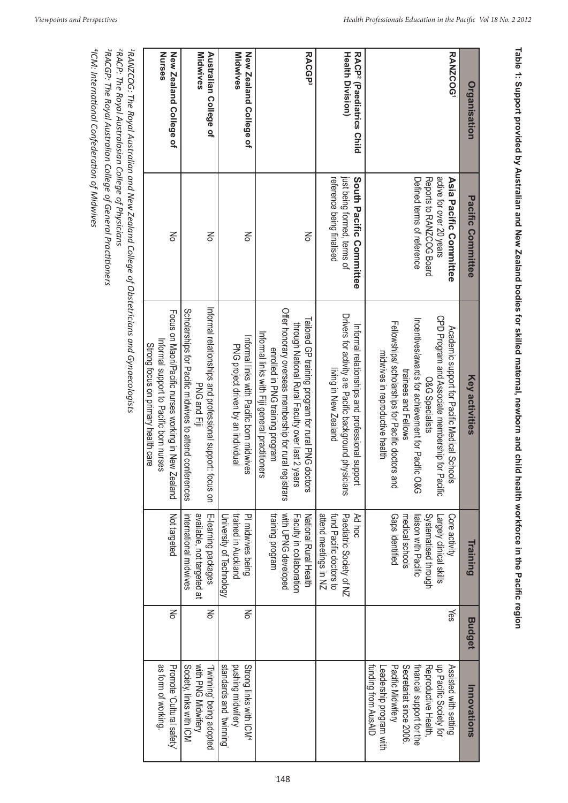| Organisation                                                    | Pacific Committee                                                                                           | <b>Key activities</b>                                                                                                                                                                                                                                                                    | Training                                                                                                                       | <b>Budget</b> | Innovations                                                                                                                                                                                          |
|-----------------------------------------------------------------|-------------------------------------------------------------------------------------------------------------|------------------------------------------------------------------------------------------------------------------------------------------------------------------------------------------------------------------------------------------------------------------------------------------|--------------------------------------------------------------------------------------------------------------------------------|---------------|------------------------------------------------------------------------------------------------------------------------------------------------------------------------------------------------------|
| RANZCOG'                                                        | Reports to NNNOOG Board<br>active for over 20 years<br>Defined terms of reference<br>Asia Pacific Committee | CPD Program and Associate membership for Pacific<br>Incentives/awards for achievement for Pacific O&G<br>Tellowships/ scholarships for Pacific doctors and<br>Academic schocht cor Pacific Medical Schools<br>midwives in reproductive health<br>trainees and Fellows<br>O&G Specialists | Gaps identified<br>Systematised through<br>Core activity<br>medical schools<br>liaison with Pacific<br>Largely clinical skills | ∕es           | funding from AusAID<br>Pacific Midwifery<br>Secretariat since 2006<br>financial support for the<br>up Pacific Society for<br>Reproductive Health<br>Assisted with setting<br>-eadership program with |
| <b>Health Division)</b><br>RACP <sup>2</sup> (Paediatrics Child | South Pacific Committee<br>just being formed, terms of<br>reference being finalised                         | Drivers for activity are Pacific background physicians<br>Informal relationships and professional support<br>living in New Zealand                                                                                                                                                       | attend meetings in NZ<br>fund Pacific doctors to<br>Paediatric Society of NZ<br>Ad hoc                                         |               |                                                                                                                                                                                                      |
| <b>RACGP3</b>                                                   | No                                                                                                          | Offer honorary overseas membership for rural registrars<br>Tailored OP training program for rural PNG doctors<br>through National Rural Faculty over last 2 years<br>Informal links with Fiji general practitioners<br>enrolled in PNG training program                                  | with UPNG developed<br>training program<br>National Rural Health<br>Faculty in collaboration                                   |               |                                                                                                                                                                                                      |
| New Zealand College of<br><b>Midwives</b>                       | No                                                                                                          | Informal links with Dacific porn midwives<br>PNG project driven by an individual                                                                                                                                                                                                         | trained in Auckland<br>PI midwives being<br>University of Technology                                                           | 종             | standards and 'twinning'<br>pushing midwifery<br>Strong links with ICM <sup>4</sup>                                                                                                                  |
| Midwives<br>Australian College of                               | No                                                                                                          | Informal relationships and professional support: focus on<br>Corporarships for Pacific midwives to attend conferences<br>PNG and Fiji                                                                                                                                                    | available, not targeted at<br>E-learning packages<br>nternational midwives                                                     | 종             | with PNG Midwifery<br>Society, links with ICM<br>Twinning' being adopted                                                                                                                             |
| Nurses<br>New Zealand College of                                | No                                                                                                          | Focus on Maori/Pacific nurses working in New Zealand<br>Informal support to Pacific born nurses<br>Strong focus on primary health care                                                                                                                                                   | Not targeted                                                                                                                   | 중             | as form of working<br>Promote Cultural safety.                                                                                                                                                       |
|                                                                 | $^{1}$ RANZCOG: The Royal Australian and New Zealand College of Obstetricians and Gynaecologists            |                                                                                                                                                                                                                                                                                          |                                                                                                                                |               |                                                                                                                                                                                                      |

<sup>2</sup>RACP: The Royal Australasian College of Physicians<br><sup>3</sup>RACGP: The Royal Australian College of General Practitioners *3RACGP: The Royal Australian College of General Practitioners 2RACP: The Royal Australasian College of Physicians*

l,

<sup>4</sup>ICM: International Confederation of Midwives *4ICM: International Confederation of Midwives*

**Table 1: Support provided by Australian and New Zealand bodies for skilled maternal, newborn and child health workforce in the Pacific region**

Table 1: Support provided by Australian and New Zealand bodies for skilled maternal, newborn and child health workforce in the Pacific region

148

 $\mathbf{I}$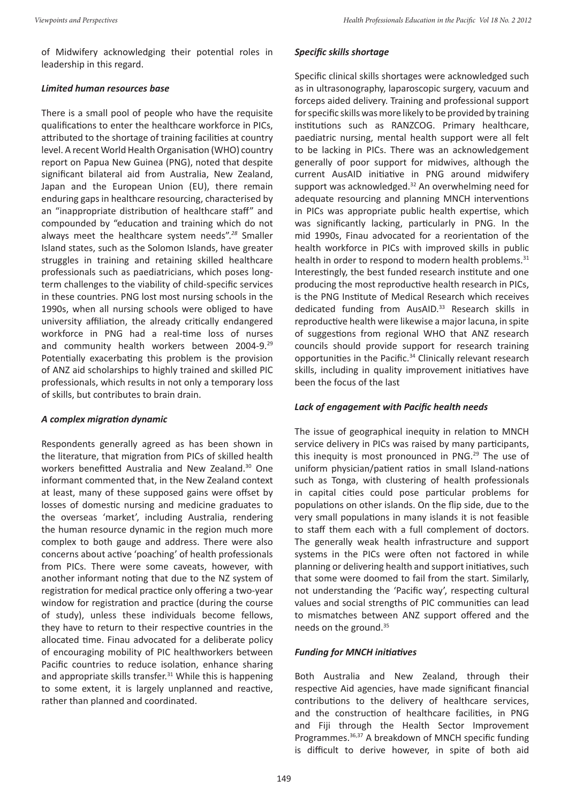of Midwifery acknowledging their potential roles in leadership in this regard.

#### *Limited human resources base*

There is a small pool of people who have the requisite qualifications to enter the healthcare workforce in PICs, attributed to the shortage of training facilities at country level. A recent World Health Organisation (WHO) country report on Papua New Guinea (PNG), noted that despite significant bilateral aid from Australia, New Zealand, Japan and the European Union (EU), there remain enduring gaps in healthcare resourcing, characterised by an "inappropriate distribution of healthcare staff" and compounded by "education and training which do not always meet the healthcare system needs".*<sup>28</sup>* Smaller Island states, such as the Solomon Islands, have greater struggles in training and retaining skilled healthcare professionals such as paediatricians, which poses longterm challenges to the viability of child-specific services in these countries. PNG lost most nursing schools in the 1990s, when all nursing schools were obliged to have university affiliation, the already critically endangered workforce in PNG had a real-time loss of nurses and community health workers between 2004-9.<sup>29</sup> Potentially exacerbating this problem is the provision of ANZ aid scholarships to highly trained and skilled PIC professionals, which results in not only a temporary loss of skills, but contributes to brain drain.

#### *A complex migration dynamic*

Respondents generally agreed as has been shown in the literature, that migration from PICs of skilled health workers benefitted Australia and New Zealand.<sup>30</sup> One informant commented that, in the New Zealand context at least, many of these supposed gains were offset by losses of domestic nursing and medicine graduates to the overseas 'market', including Australia, rendering the human resource dynamic in the region much more complex to both gauge and address. There were also concerns about active 'poaching' of health professionals from PICs. There were some caveats, however, with another informant noting that due to the NZ system of registration for medical practice only offering a two-year window for registration and practice (during the course of study), unless these individuals become fellows, they have to return to their respective countries in the allocated time. Finau advocated for a deliberate policy of encouraging mobility of PIC healthworkers between Pacific countries to reduce isolation, enhance sharing and appropriate skills transfer.<sup>31</sup> While this is happening to some extent, it is largely unplanned and reactive, rather than planned and coordinated.

## *Specific skills shortage*

Specific clinical skills shortages were acknowledged such as in ultrasonography, laparoscopic surgery, vacuum and forceps aided delivery. Training and professional support for specific skills was more likely to be provided by training institutions such as RANZCOG. Primary healthcare, paediatric nursing, mental health support were all felt to be lacking in PICs. There was an acknowledgement generally of poor support for midwives, although the current AusAID initiative in PNG around midwifery support was acknowledged.<sup>32</sup> An overwhelming need for adequate resourcing and planning MNCH interventions in PICs was appropriate public health expertise, which was significantly lacking, particularly in PNG. In the mid 1990s, Finau advocated for a reorientation of the health workforce in PICs with improved skills in public health in order to respond to modern health problems.<sup>31</sup> Interestingly, the best funded research institute and one producing the most reproductive health research in PICs, is the PNG Institute of Medical Research which receives dedicated funding from AusAID.<sup>33</sup> Research skills in reproductive health were likewise a major lacuna, in spite of suggestions from regional WHO that ANZ research councils should provide support for research training opportunities in the Pacific.<sup>34</sup> Clinically relevant research skills, including in quality improvement initiatives have been the focus of the last

## *Lack of engagement with Pacific health needs*

The issue of geographical inequity in relation to MNCH service delivery in PICs was raised by many participants, this inequity is most pronounced in PNG. $29$  The use of uniform physician/patient ratios in small Island-nations such as Tonga, with clustering of health professionals in capital cities could pose particular problems for populations on other islands. On the flip side, due to the very small populations in many islands it is not feasible to staff them each with a full complement of doctors. The generally weak health infrastructure and support systems in the PICs were often not factored in while planning or delivering health and support initiatives, such that some were doomed to fail from the start. Similarly, not understanding the 'Pacific way', respecting cultural values and social strengths of PIC communities can lead to mismatches between ANZ support offered and the needs on the ground.<sup>35</sup>

## *Funding for MNCH initiatives*

Both Australia and New Zealand, through their respective Aid agencies, have made significant financial contributions to the delivery of healthcare services, and the construction of healthcare facilities, in PNG and Fiji through the Health Sector Improvement Programmes.<sup>36,37</sup> A breakdown of MNCH specific funding is difficult to derive however, in spite of both aid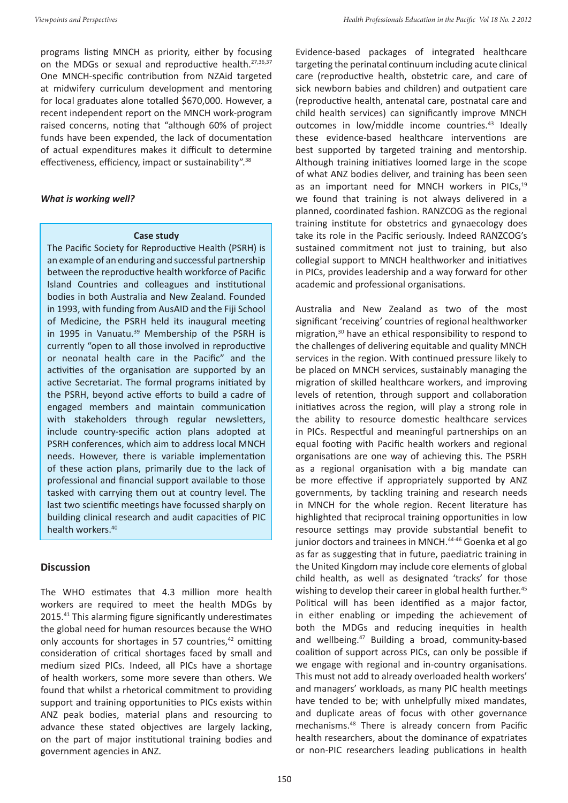programs listing MNCH as priority, either by focusing on the MDGs or sexual and reproductive health.<sup>27,36,37</sup> One MNCH-specific contribution from NZAid targeted at midwifery curriculum development and mentoring for local graduates alone totalled \$670,000. However, a recent independent report on the MNCH work-program raised concerns, noting that "although 60% of project funds have been expended, the lack of documentation of actual expenditures makes it difficult to determine effectiveness, efficiency, impact or sustainability".38

#### *What is working well?*

#### **Case study**

The Pacific Society for Reproductive Health (PSRH) is an example of an enduring and successful partnership between the reproductive health workforce of Pacific Island Countries and colleagues and institutional bodies in both Australia and New Zealand. Founded in 1993, with funding from AusAID and the Fiji School of Medicine, the PSRH held its inaugural meeting in 1995 in Vanuatu.<sup>39</sup> Membership of the PSRH is currently "open to all those involved in reproductive or neonatal health care in the Pacific" and the activities of the organisation are supported by an active Secretariat. The formal programs initiated by the PSRH, beyond active efforts to build a cadre of engaged members and maintain communication with stakeholders through regular newsletters, include country-specific action plans adopted at PSRH conferences, which aim to address local MNCH needs. However, there is variable implementation of these action plans, primarily due to the lack of professional and financial support available to those tasked with carrying them out at country level. The last two scientific meetings have focussed sharply on building clinical research and audit capacities of PIC health workers.<sup>40</sup>

## **Discussion**

The WHO estimates that 4.3 million more health workers are required to meet the health MDGs by 2015.41 This alarming figure significantly underestimates the global need for human resources because the WHO only accounts for shortages in 57 countries, $42$  omitting consideration of critical shortages faced by small and medium sized PICs. Indeed, all PICs have a shortage of health workers, some more severe than others. We found that whilst a rhetorical commitment to providing support and training opportunities to PICs exists within ANZ peak bodies, material plans and resourcing to advance these stated objectives are largely lacking, on the part of major institutional training bodies and government agencies in ANZ.

Evidence-based packages of integrated healthcare targeting the perinatal continuum including acute clinical care (reproductive health, obstetric care, and care of sick newborn babies and children) and outpatient care (reproductive health, antenatal care, postnatal care and child health services) can significantly improve MNCH outcomes in low/middle income countries.<sup>43</sup> Ideally these evidence-based healthcare interventions are best supported by targeted training and mentorship. Although training initiatives loomed large in the scope of what ANZ bodies deliver, and training has been seen as an important need for MNCH workers in PICs,<sup>19</sup> we found that training is not always delivered in a planned, coordinated fashion. RANZCOG as the regional training institute for obstetrics and gynaecology does take its role in the Pacific seriously. Indeed RANZCOG's sustained commitment not just to training, but also collegial support to MNCH healthworker and initiatives in PICs, provides leadership and a way forward for other academic and professional organisations.

Australia and New Zealand as two of the most significant 'receiving' countries of regional healthworker migration,<sup>30</sup> have an ethical responsibility to respond to the challenges of delivering equitable and quality MNCH services in the region. With continued pressure likely to be placed on MNCH services, sustainably managing the migration of skilled healthcare workers, and improving levels of retention, through support and collaboration initiatives across the region, will play a strong role in the ability to resource domestic healthcare services in PICs. Respectful and meaningful partnerships on an equal footing with Pacific health workers and regional organisations are one way of achieving this. The PSRH as a regional organisation with a big mandate can be more effective if appropriately supported by ANZ governments, by tackling training and research needs in MNCH for the whole region. Recent literature has highlighted that reciprocal training opportunities in low resource settings may provide substantial benefit to junior doctors and trainees in MNCH.<sup>44-46</sup> Goenka et al go as far as suggesting that in future, paediatric training in the United Kingdom may include core elements of global child health, as well as designated 'tracks' for those wishing to develop their career in global health further.<sup>45</sup> Political will has been identified as a major factor, in either enabling or impeding the achievement of both the MDGs and reducing inequities in health and wellbeing.47 Building a broad, community-based coalition of support across PICs, can only be possible if we engage with regional and in-country organisations. This must not add to already overloaded health workers' and managers' workloads, as many PIC health meetings have tended to be; with unhelpfully mixed mandates, and duplicate areas of focus with other governance mechanisms.48 There is already concern from Pacific health researchers, about the dominance of expatriates or non-PIC researchers leading publications in health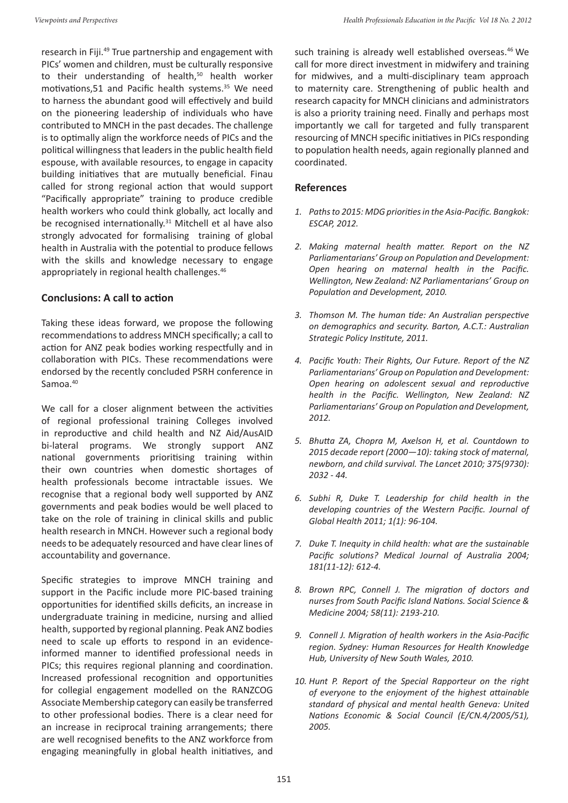research in Fiji.49 True partnership and engagement with PICs' women and children, must be culturally responsive to their understanding of health,<sup>50</sup> health worker motivations,51 and Pacific health systems.<sup>35</sup> We need to harness the abundant good will effectively and build on the pioneering leadership of individuals who have contributed to MNCH in the past decades. The challenge is to optimally align the workforce needs of PICs and the political willingness that leaders in the public health field espouse, with available resources, to engage in capacity building initiatives that are mutually beneficial. Finau called for strong regional action that would support "Pacifically appropriate" training to produce credible health workers who could think globally, act locally and be recognised internationally.<sup>31</sup> Mitchell et al have also strongly advocated for formalising training of global health in Australia with the potential to produce fellows with the skills and knowledge necessary to engage appropriately in regional health challenges.<sup>46</sup>

## **Conclusions: A call to action**

Taking these ideas forward, we propose the following recommendations to address MNCH specifically; a call to action for ANZ peak bodies working respectfully and in collaboration with PICs. These recommendations were endorsed by the recently concluded PSRH conference in Samoa.<sup>40</sup>

We call for a closer alignment between the activities of regional professional training Colleges involved in reproductive and child health and NZ Aid/AusAID bi-lateral programs. We strongly support ANZ national governments prioritising training within their own countries when domestic shortages of health professionals become intractable issues. We recognise that a regional body well supported by ANZ governments and peak bodies would be well placed to take on the role of training in clinical skills and public health research in MNCH. However such a regional body needs to be adequately resourced and have clear lines of accountability and governance.

Specific strategies to improve MNCH training and support in the Pacific include more PIC-based training opportunities for identified skills deficits, an increase in undergraduate training in medicine, nursing and allied health, supported by regional planning. Peak ANZ bodies need to scale up efforts to respond in an evidenceinformed manner to identified professional needs in PICs; this requires regional planning and coordination. Increased professional recognition and opportunities for collegial engagement modelled on the RANZCOG Associate Membership category can easily be transferred to other professional bodies. There is a clear need for an increase in reciprocal training arrangements; there are well recognised benefits to the ANZ workforce from engaging meaningfully in global health initiatives, and

such training is already well established overseas.<sup>46</sup> We call for more direct investment in midwifery and training for midwives, and a multi-disciplinary team approach to maternity care. Strengthening of public health and research capacity for MNCH clinicians and administrators is also a priority training need. Finally and perhaps most importantly we call for targeted and fully transparent resourcing of MNCH specific initiatives in PICs responding to population health needs, again regionally planned and coordinated.

## **References**

- *1. Paths to 2015: MDG priorities in the Asia-Pacific. Bangkok: ESCAP, 2012.*
- *2. Making maternal health matter. Report on the NZ Parliamentarians' Group on Population and Development: Open hearing on maternal health in the Pacific. Wellington, New Zealand: NZ Parliamentarians' Group on Population and Development, 2010.*
- *3. Thomson M. The human tide: An Australian perspective on demographics and security. Barton, A.C.T.: Australian Strategic Policy Institute, 2011.*
- *4. Pacific Youth: Their Rights, Our Future. Report of the NZ Parliamentarians' Group on Population and Development: Open hearing on adolescent sexual and reproductive health in the Pacific. Wellington, New Zealand: NZ Parliamentarians' Group on Population and Development, 2012.*
- *5. Bhutta ZA, Chopra M, Axelson H, et al. Countdown to 2015 decade report (2000—10): taking stock of maternal, newborn, and child survival. The Lancet 2010; 375(9730): 2032 - 44.*
- *6. Subhi R, Duke T. Leadership for child health in the developing countries of the Western Pacific. Journal of Global Health 2011; 1(1): 96-104.*
- *7. Duke T. Inequity in child health: what are the sustainable Pacific solutions? Medical Journal of Australia 2004; 181(11-12): 612-4.*
- *8. Brown RPC, Connell J. The migration of doctors and nurses from South Pacific Island Nations. Social Science & Medicine 2004; 58(11): 2193-210.*
- *9. Connell J. Migration of health workers in the Asia-Pacific region. Sydney: Human Resources for Health Knowledge Hub, University of New South Wales, 2010.*
- *10. Hunt P. Report of the Special Rapporteur on the right of everyone to the enjoyment of the highest attainable standard of physical and mental health Geneva: United Nations Economic & Social Council (E/CN.4/2005/51), 2005.*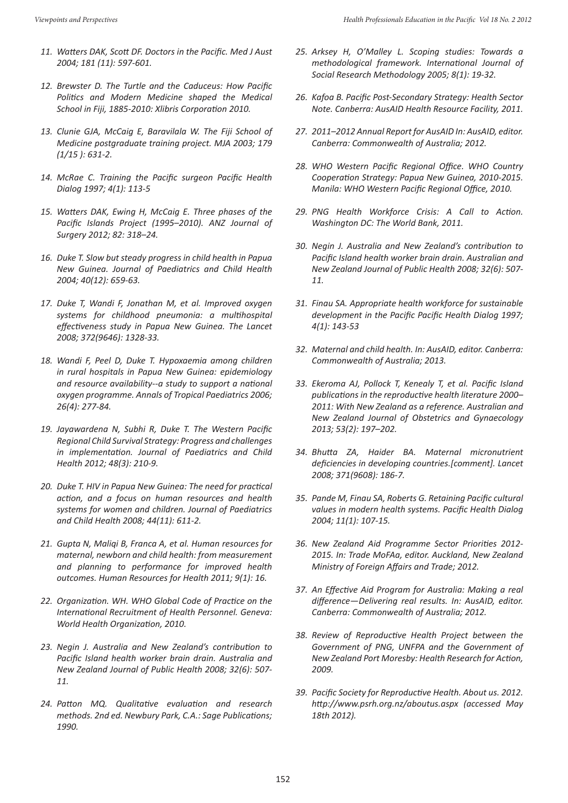- *11. Watters DAK, Scott DF. Doctors in the Pacific. Med J Aust 2004; 181 (11): 597-601.*
- *12. Brewster D. The Turtle and the Caduceus: How Pacific Politics and Modern Medicine shaped the Medical School in Fiji, 1885-2010: Xlibris Corporation 2010.*
- *13. Clunie GJA, McCaig E, Baravilala W. The Fiji School of Medicine postgraduate training project. MJA 2003; 179 (1/15 ): 631-2.*
- *14. McRae C. Training the Pacific surgeon Pacific Health Dialog 1997; 4(1): 113-5*
- *15. Watters DAK, Ewing H, McCaig E. Three phases of the Pacific Islands Project (1995–2010). ANZ Journal of Surgery 2012; 82: 318–24.*
- *16. Duke T. Slow but steady progress in child health in Papua New Guinea. Journal of Paediatrics and Child Health 2004; 40(12): 659-63.*
- *17. Duke T, Wandi F, Jonathan M, et al. Improved oxygen systems for childhood pneumonia: a multihospital effectiveness study in Papua New Guinea. The Lancet 2008; 372(9646): 1328-33.*
- *18. Wandi F, Peel D, Duke T. Hypoxaemia among children in rural hospitals in Papua New Guinea: epidemiology and resource availability--a study to support a national oxygen programme. Annals of Tropical Paediatrics 2006; 26(4): 277-84.*
- *19. Jayawardena N, Subhi R, Duke T. The Western Pacific Regional Child Survival Strategy: Progress and challenges in implementation. Journal of Paediatrics and Child Health 2012; 48(3): 210-9.*
- *20. Duke T. HIV in Papua New Guinea: The need for practical action, and a focus on human resources and health systems for women and children. Journal of Paediatrics and Child Health 2008; 44(11): 611-2.*
- *21. Gupta N, Maliqi B, Franca A, et al. Human resources for maternal, newborn and child health: from measurement and planning to performance for improved health outcomes. Human Resources for Health 2011; 9(1): 16.*
- *22. Organization. WH. WHO Global Code of Practice on the International Recruitment of Health Personnel. Geneva: World Health Organization, 2010.*
- *23. Negin J. Australia and New Zealand's contribution to Pacific Island health worker brain drain. Australia and New Zealand Journal of Public Health 2008; 32(6): 507- 11.*
- *24. Patton MQ. Qualitative evaluation and research methods. 2nd ed. Newbury Park, C.A.: Sage Publications; 1990.*
- *25. Arksey H, O'Malley L. Scoping studies: Towards a methodological framework. International Journal of Social Research Methodology 2005; 8(1): 19-32.*
- *26. Kafoa B. Pacific Post-Secondary Strategy: Health Sector Note. Canberra: AusAID Health Resource Facility, 2011.*
- *27. 2011–2012 Annual Report for AusAID In: AusAID, editor. Canberra: Commonwealth of Australia; 2012.*
- *28. WHO Western Pacific Regional Office. WHO Country Cooperation Strategy: Papua New Guinea, 2010-2015. Manila: WHO Western Pacific Regional Office, 2010.*
- *29. PNG Health Workforce Crisis: A Call to Action. Washington DC: The World Bank, 2011.*
- *30. Negin J. Australia and New Zealand's contribution to Pacific Island health worker brain drain. Australian and New Zealand Journal of Public Health 2008; 32(6): 507- 11.*
- *31. Finau SA. Appropriate health workforce for sustainable development in the Pacific Pacific Health Dialog 1997; 4(1): 143-53*
- *32. Maternal and child health. In: AusAID, editor. Canberra: Commonwealth of Australia; 2013.*
- *33. Ekeroma AJ, Pollock T, Kenealy T, et al. Pacific Island publications in the reproductive health literature 2000– 2011: With New Zealand as a reference. Australian and New Zealand Journal of Obstetrics and Gynaecology 2013; 53(2): 197–202.*
- *34. Bhutta ZA, Haider BA. Maternal micronutrient deficiencies in developing countries.[comment]. Lancet 2008; 371(9608): 186-7.*
- *35. Pande M, Finau SA, Roberts G. Retaining Pacific cultural values in modern health systems. Pacific Health Dialog 2004; 11(1): 107-15.*
- *36. New Zealand Aid Programme Sector Priorities 2012- 2015. In: Trade MoFAa, editor. Auckland, New Zealand Ministry of Foreign Affairs and Trade; 2012.*
- *37. An Effective Aid Program for Australia: Making a real difference—Delivering real results. In: AusAID, editor. Canberra: Commonwealth of Australia; 2012.*
- *38. Review of Reproductive Health Project between the Government of PNG, UNFPA and the Government of New Zealand Port Moresby: Health Research for Action, 2009.*
- *39. Pacific Society for Reproductive Health. About us. 2012. http://www.psrh.org.nz/aboutus.aspx (accessed May 18th 2012).*